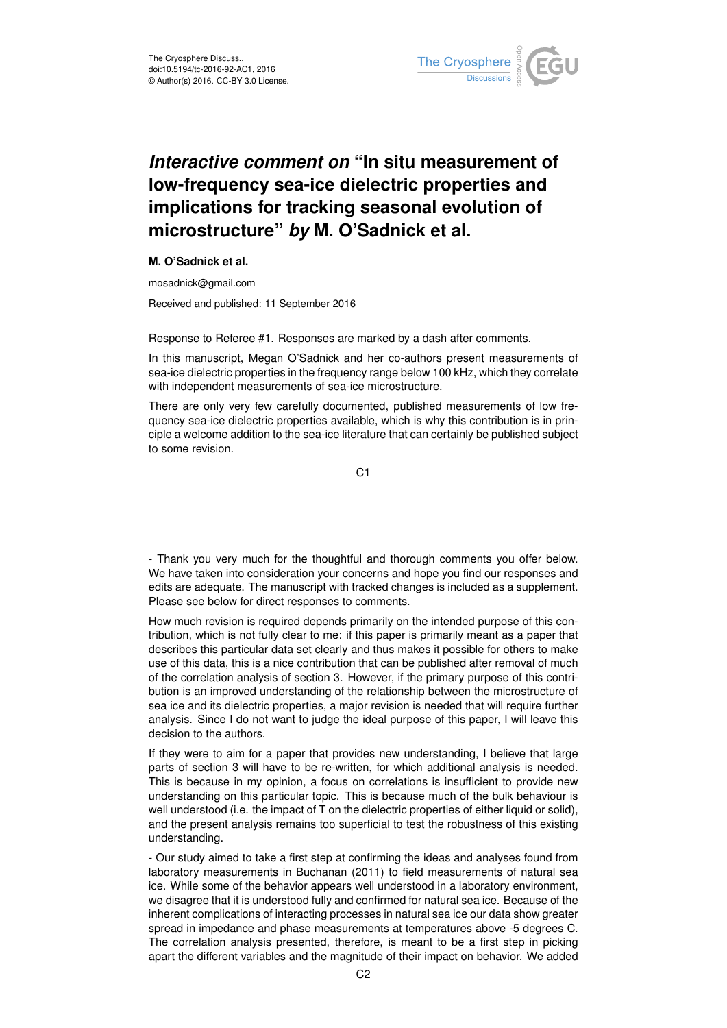

## *Interactive comment on* **"In situ measurement of low-frequency sea-ice dielectric properties and implications for tracking seasonal evolution of microstructure"** *by* **M. O'Sadnick et al.**

## **M. O'Sadnick et al.**

mosadnick@gmail.com

Received and published: 11 September 2016

Response to Referee #1. Responses are marked by a dash after comments.

In this manuscript, Megan O'Sadnick and her co-authors present measurements of sea-ice dielectric properties in the frequency range below 100 kHz, which they correlate with independent measurements of sea-ice microstructure.

There are only very few carefully documented, published measurements of low frequency sea-ice dielectric properties available, which is why this contribution is in principle a welcome addition to the sea-ice literature that can certainly be published subject to some revision.

C<sub>1</sub>

- Thank you very much for the thoughtful and thorough comments you offer below. We have taken into consideration your concerns and hope you find our responses and edits are adequate. The manuscript with tracked changes is included as a supplement. Please see below for direct responses to comments.

How much revision is required depends primarily on the intended purpose of this contribution, which is not fully clear to me: if this paper is primarily meant as a paper that describes this particular data set clearly and thus makes it possible for others to make use of this data, this is a nice contribution that can be published after removal of much of the correlation analysis of section 3. However, if the primary purpose of this contribution is an improved understanding of the relationship between the microstructure of sea ice and its dielectric properties, a major revision is needed that will require further analysis. Since I do not want to judge the ideal purpose of this paper, I will leave this decision to the authors.

If they were to aim for a paper that provides new understanding, I believe that large parts of section 3 will have to be re-written, for which additional analysis is needed. This is because in my opinion, a focus on correlations is insufficient to provide new understanding on this particular topic. This is because much of the bulk behaviour is well understood (i.e. the impact of T on the dielectric properties of either liquid or solid), and the present analysis remains too superficial to test the robustness of this existing understanding.

- Our study aimed to take a first step at confirming the ideas and analyses found from laboratory measurements in Buchanan (2011) to field measurements of natural sea ice. While some of the behavior appears well understood in a laboratory environment, we disagree that it is understood fully and confirmed for natural sea ice. Because of the inherent complications of interacting processes in natural sea ice our data show greater spread in impedance and phase measurements at temperatures above -5 degrees C. The correlation analysis presented, therefore, is meant to be a first step in picking apart the different variables and the magnitude of their impact on behavior. We added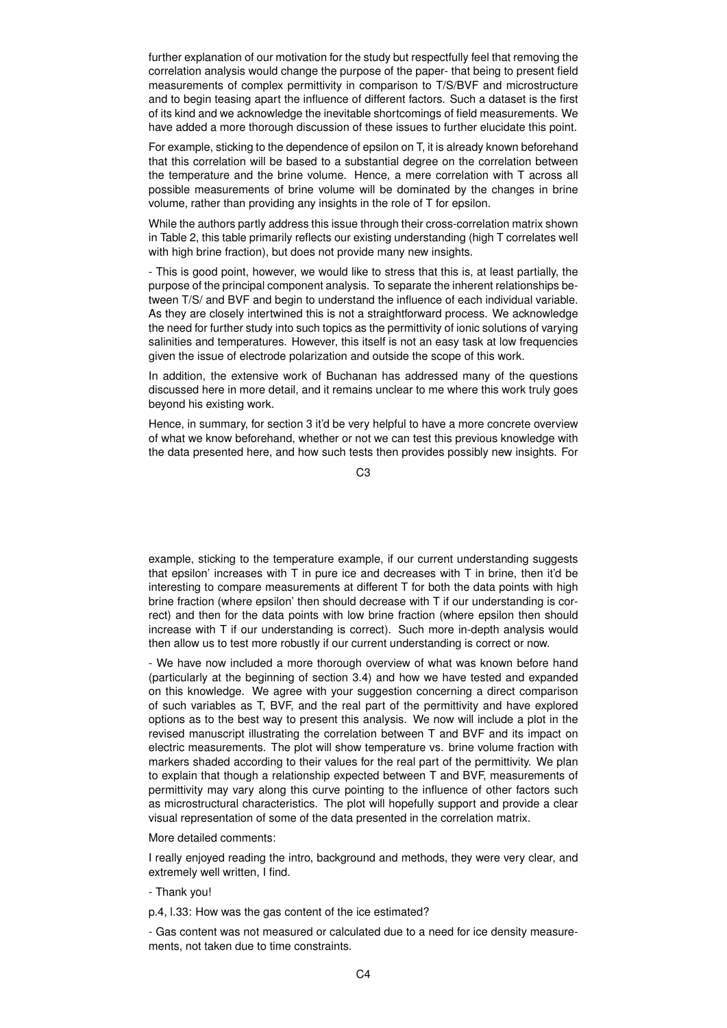further explanation of our motivation for the study but respectfully feel that removing the correlation analysis would change the purpose of the paper- that being to present field measurements of complex permittivity in comparison to T/S/BVF and microstructure and to begin teasing apart the influence of different factors. Such a dataset is the first of its kind and we acknowledge the inevitable shortcomings of field measurements. We have added a more thorough discussion of these issues to further elucidate this point.

For example, sticking to the dependence of epsilon on T, it is already known beforehand that this correlation will be based to a substantial degree on the correlation between the temperature and the brine volume. Hence, a mere correlation with T across all possible measurements of brine volume will be dominated by the changes in brine volume, rather than providing any insights in the role of T for epsilon.

While the authors partly address this issue through their cross-correlation matrix shown in Table 2, this table primarily reflects our existing understanding (high T correlates well with high brine fraction), but does not provide many new insights.

- This is good point, however, we would like to stress that this is, at least partially, the purpose of the principal component analysis. To separate the inherent relationships between T/S/ and BVF and begin to understand the influence of each individual variable. As they are closely intertwined this is not a straightforward process. We acknowledge the need for further study into such topics as the permittivity of ionic solutions of varying salinities and temperatures. However, this itself is not an easy task at low frequencies given the issue of electrode polarization and outside the scope of this work.

In addition, the extensive work of Buchanan has addressed many of the questions discussed here in more detail, and it remains unclear to me where this work truly goes beyond his existing work.

Hence, in summary, for section 3 it'd be very helpful to have a more concrete overview of what we know beforehand, whether or not we can test this previous knowledge with the data presented here, and how such tests then provides possibly new insights. For

C3

example, sticking to the temperature example, if our current understanding suggests that epsilon' increases with T in pure ice and decreases with T in brine, then it'd be interesting to compare measurements at different T for both the data points with high brine fraction (where epsilon' then should decrease with T if our understanding is correct) and then for the data points with low brine fraction (where epsilon then should increase with T if our understanding is correct). Such more in-depth analysis would then allow us to test more robustly if our current understanding is correct or now.

- We have now included a more thorough overview of what was known before hand (particularly at the beginning of section 3.4) and how we have tested and expanded on this knowledge. We agree with your suggestion concerning a direct comparison of such variables as T, BVF, and the real part of the permittivity and have explored options as to the best way to present this analysis. We now will include a plot in the revised manuscript illustrating the correlation between T and BVF and its impact on electric measurements. The plot will show temperature vs. brine volume fraction with markers shaded according to their values for the real part of the permittivity. We plan to explain that though a relationship expected between T and BVF, measurements of permittivity may vary along this curve pointing to the influence of other factors such as microstructural characteristics. The plot will hopefully support and provide a clear visual representation of some of the data presented in the correlation matrix.

## More detailed comments:

I really enjoyed reading the intro, background and methods, they were very clear, and extremely well written, I find.

- Thank you!

p.4, l.33: How was the gas content of the ice estimated?

- Gas content was not measured or calculated due to a need for ice density measurements, not taken due to time constraints.